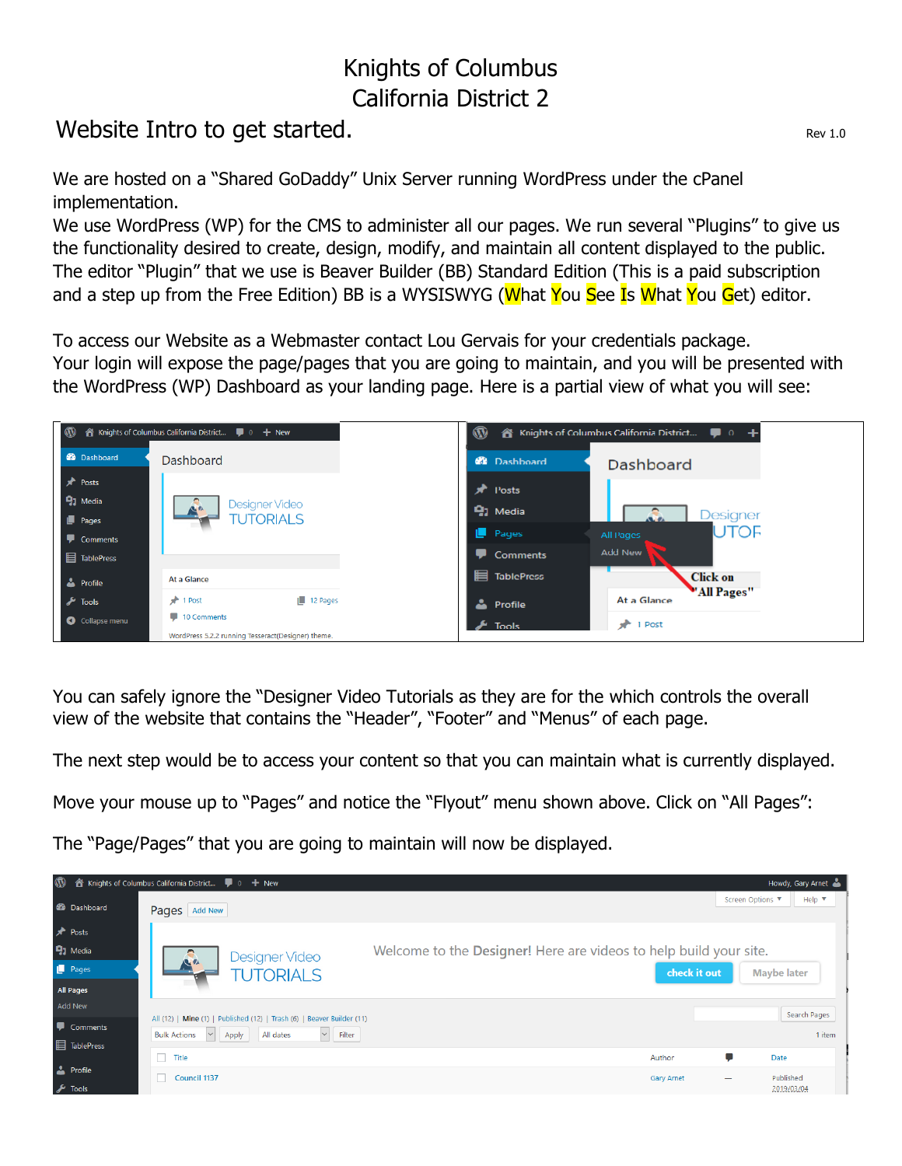## Knights of Columbus California District 2

## Website Intro to get started.

We are hosted on a "Shared GoDaddy" Unix Server running WordPress under the cPanel implementation.

We use WordPress (WP) for the CMS to administer all our pages. We run several "Plugins" to give us the functionality desired to create, design, modify, and maintain all content displayed to the public. The editor "Plugin" that we use is Beaver Builder (BB) Standard Edition (This is a paid subscription and a step up from the Free Edition) BB is a WYSISWYG (What You See Is What You Get) editor.

To access our Website as a Webmaster contact Lou Gervais for your credentials package. Your login will expose the page/pages that you are going to maintain, and you will be presented with the WordPress (WP) Dashboard as your landing page. Here is a partial view of what you will see:



You can safely ignore the "Designer Video Tutorials as they are for the which controls the overall view of the website that contains the "Header", "Footer" and "Menus" of each page.

The next step would be to access your content so that you can maintain what is currently displayed.

Move your mouse up to "Pages" and notice the "Flyout" menu shown above. Click on "All Pages":

The "Page/Pages" that you are going to maintain will now be displayed.

| $\mathbf{\Omega}$<br>Howdy, Gary Arnet<br>A Knights of Columbus California District ■ 0 + New |                                                                                                                                                                                   |                                                                                   |                    |                               |  |  |  |  |
|-----------------------------------------------------------------------------------------------|-----------------------------------------------------------------------------------------------------------------------------------------------------------------------------------|-----------------------------------------------------------------------------------|--------------------|-------------------------------|--|--|--|--|
| <b>20</b> Dashboard                                                                           | Pages Add New                                                                                                                                                                     |                                                                                   | Screen Options ▼   | Help $\blacktriangledown$     |  |  |  |  |
| <b>A</b> Posts<br><b>Q</b> <sub>1</sub> Media<br>Pages<br>All Pages                           | Designer Video<br><b>ALL</b><br><b>TUTORIALS</b>                                                                                                                                  | Welcome to the Designer! Here are videos to help build your site.<br>check it out | <b>Maybe later</b> |                               |  |  |  |  |
| <b>Add New</b><br>Comments<br><b>目 TablePress</b>                                             | All (12)   Mine (1)   Published (12)   Trash (6)   Beaver Builder (11)<br>$\vert \mathsf{v} \vert$ Filter<br><b>Bulk Actions</b><br>Apply<br>All dates<br>$\vert$ $\vert$ $\vert$ |                                                                                   |                    | <b>Search Pages</b><br>1 item |  |  |  |  |
| <b>A</b> Profile<br>$\sqrt{\frac{1}{2}}$ Tools                                                | $\Box$<br>Title<br><b>Council 1137</b>                                                                                                                                            | Author<br><b>Gary Arnet</b>                                                       | Ç<br>Date          | Published<br>2019/03/04       |  |  |  |  |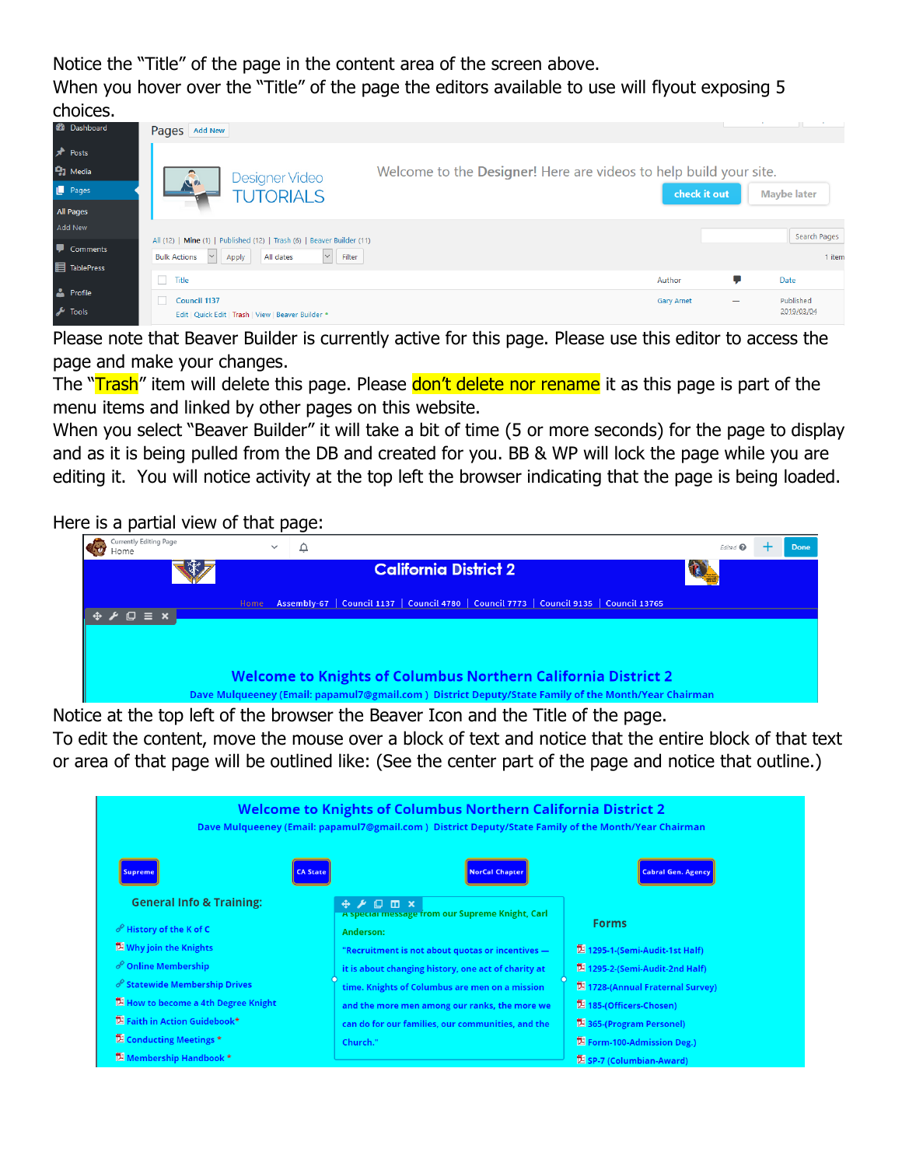Notice the "Title" of the page in the content area of the screen above.

When you hover over the "Title" of the page the editors available to use will flyout exposing 5 choices.

| --------             |                                                                                                                                                                           |                                                                   |              |               |                         |
|----------------------|---------------------------------------------------------------------------------------------------------------------------------------------------------------------------|-------------------------------------------------------------------|--------------|---------------|-------------------------|
| <b>CD</b> Dashboard  | Pages   Add New                                                                                                                                                           |                                                                   |              | ------------- | <b>School Security</b>  |
| <b>A</b> Posts       |                                                                                                                                                                           |                                                                   |              |               |                         |
| <sup>9</sup> 1 Media | Designer Video                                                                                                                                                            | Welcome to the Designer! Here are videos to help build your site. |              |               |                         |
| Pages                | <b>ALL</b><br><b>TUTORIALS</b>                                                                                                                                            |                                                                   | check it out |               | <b>Maybe later</b>      |
| <b>All Pages</b>     |                                                                                                                                                                           |                                                                   |              |               |                         |
| Add New              |                                                                                                                                                                           |                                                                   |              |               | Search Pages            |
| Comments             | All (12)   Mine (1)   Published (12)   Trash (6)   Beaver Builder (11)<br>$\vert \vee \vert$<br><b>Bulk Actions</b><br>All dates<br>Apply<br>Filter<br>$\vert \vee \vert$ |                                                                   |              |               | 1 item                  |
| <b>目 TablePress</b>  |                                                                                                                                                                           |                                                                   |              |               |                         |
|                      | П<br>Title                                                                                                                                                                |                                                                   | Author       | t,            | Date                    |
| $\sqrt{\ }$ Tools    | Council 1137<br>Edit   Quick Edit   Trash   View   Beaver Builder .                                                                                                       |                                                                   | Gary Arnet   |               | Published<br>2019/03/04 |
| <b>A</b> Profile     |                                                                                                                                                                           |                                                                   |              |               |                         |

Please note that Beaver Builder is currently active for this page. Please use this editor to access the page and make your changes.

The "Trash" item will delete this page. Please don't delete nor rename it as this page is part of the menu items and linked by other pages on this website.

When you select "Beaver Builder" it will take a bit of time (5 or more seconds) for the page to display and as it is being pulled from the DB and created for you. BB & WP will lock the page while you are editing it. You will notice activity at the top left the browser indicating that the page is being loaded.

Here is a partial view of that page:

| Currently Editing Page<br>Home                                                                      |  | $\checkmark$ |  |                                                                                         |  |  |  | Edited <sup>O</sup> | Done |
|-----------------------------------------------------------------------------------------------------|--|--------------|--|-----------------------------------------------------------------------------------------|--|--|--|---------------------|------|
|                                                                                                     |  |              |  | <b>California District 2</b>                                                            |  |  |  |                     |      |
| $\Leftrightarrow$ $\blacktriangleright$ $\square$ $\equiv$ $\times$ .                               |  | Home         |  | Assembly-67   Council 1137   Council 4780   Council 7773   Council 9135   Council 13765 |  |  |  |                     |      |
|                                                                                                     |  |              |  |                                                                                         |  |  |  |                     |      |
| <b>Welcome to Knights of Columbus Northern California District 2</b>                                |  |              |  |                                                                                         |  |  |  |                     |      |
| Dave Mulqueeney (Email: papamul7@gmail.com) District Deputy/State Family of the Month/Year Chairman |  |              |  |                                                                                         |  |  |  |                     |      |

Notice at the top left of the browser the Beaver Icon and the Title of the page. To edit the content, move the mouse over a block of text and notice that the entire block of that text

or area of that page will be outlined like: (See the center part of the page and notice that outline.)

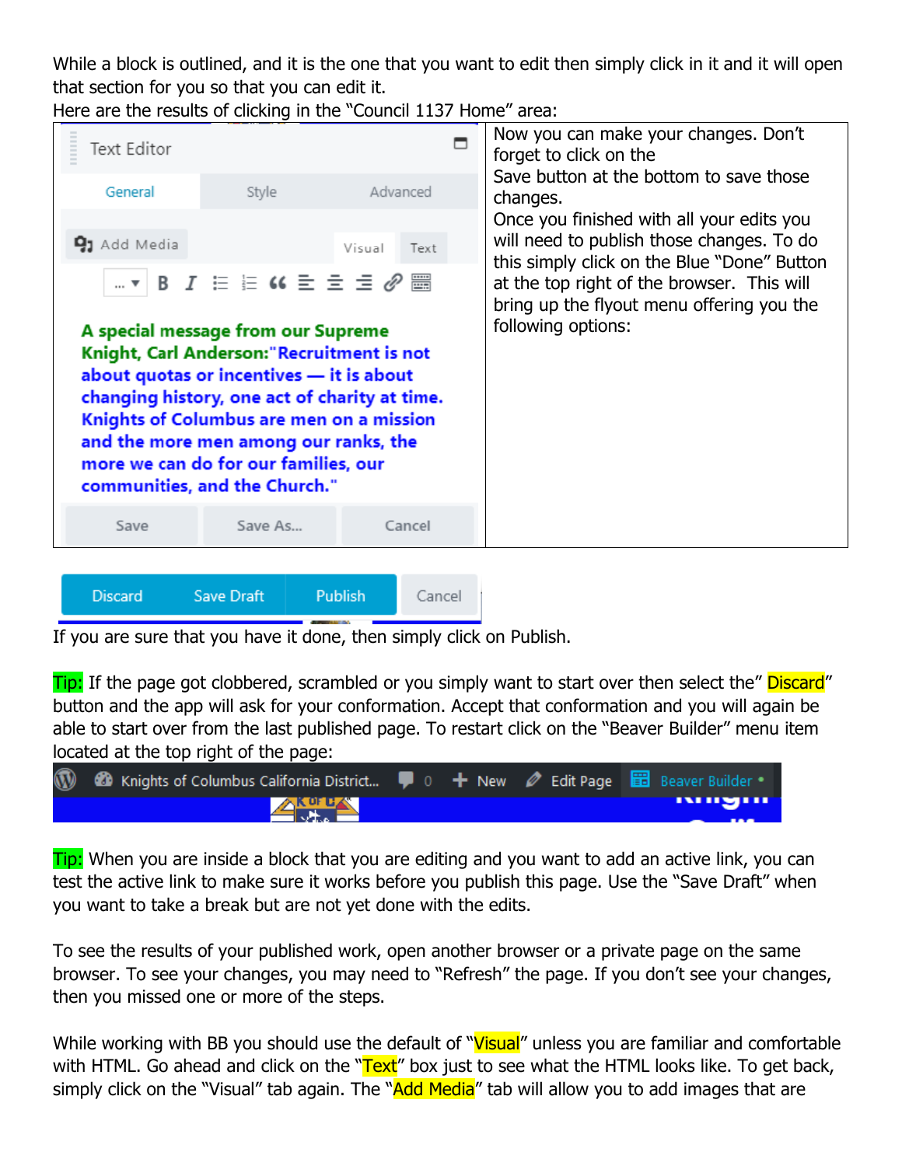While a block is outlined, and it is the one that you want to edit then simply click in it and it will open that section for you so that you can edit it.

Here are the results of clicking in the "Council 1137 Home" area:



If you are sure that you have it done, then simply click on Publish.

Tip: If the page got clobbered, scrambled or you simply want to start over then select the" Discard" button and the app will ask for your conformation. Accept that conformation and you will again be able to start over from the last published page. To restart click on the "Beaver Builder" menu item located at the top right of the page:

| 1 2 Knights of Columbus California District ( 0 + New / Edit Page B Beaver Builder . |  |      |
|--------------------------------------------------------------------------------------|--|------|
| <b>ANGLES</b>                                                                        |  | www. |

**Tip:** When you are inside a block that you are editing and you want to add an active link, you can test the active link to make sure it works before you publish this page. Use the "Save Draft" when you want to take a break but are not yet done with the edits.

To see the results of your published work, open another browser or a private page on the same browser. To see your changes, you may need to "Refresh" the page. If you don't see your changes, then you missed one or more of the steps.

While working with BB you should use the default of "Visual" unless you are familiar and comfortable with HTML. Go ahead and click on the "Text" box just to see what the HTML looks like. To get back, simply click on the "Visual" tab again. The "Add Media" tab will allow you to add images that are